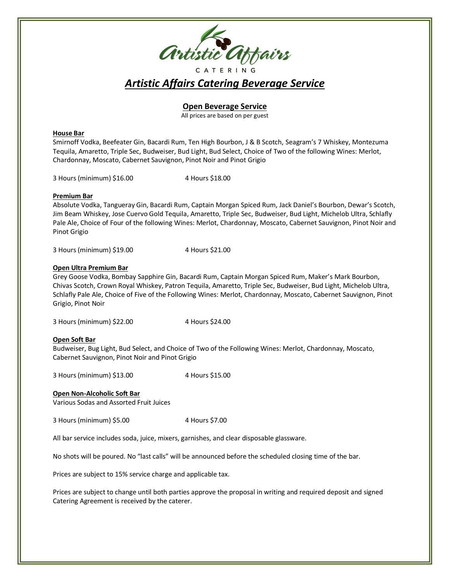

# *Artistic Affairs Catering Beverage Service*

## **Open Beverage Service**

All prices are based on per guest

#### **House Bar**

Smirnoff Vodka, Beefeater Gin, Bacardi Rum, Ten High Bourbon, J & B Scotch, Seagram's 7 Whiskey, Montezuma Tequila, Amaretto, Triple Sec, Budweiser, Bud Light, Bud Select, Choice of Two of the following Wines: Merlot, Chardonnay, Moscato, Cabernet Sauvignon, Pinot Noir and Pinot Grigio

3 Hours (minimum) \$16.00 4 Hours \$18.00

#### **Premium Bar**

Absolute Vodka, Tangueray Gin, Bacardi Rum, Captain Morgan Spiced Rum, Jack Daniel's Bourbon, Dewar's Scotch, Jim Beam Whiskey, Jose Cuervo Gold Tequila, Amaretto, Triple Sec, Budweiser, Bud Light, Michelob Ultra, Schlafly Pale Ale, Choice of Four of the following Wines: Merlot, Chardonnay, Moscato, Cabernet Sauvignon, Pinot Noir and Pinot Grigio

3 Hours (minimum) \$19.00 4 Hours \$21.00

#### **Open Ultra Premium Bar**

Grey Goose Vodka, Bombay Sapphire Gin, Bacardi Rum, Captain Morgan Spiced Rum, Maker's Mark Bourbon, Chivas Scotch, Crown Royal Whiskey, Patron Tequila, Amaretto, Triple Sec, Budweiser, Bud Light, Michelob Ultra, Schlafly Pale Ale, Choice of Five of the Following Wines: Merlot, Chardonnay, Moscato, Cabernet Sauvignon, Pinot Grigio, Pinot Noir

3 Hours (minimum) \$22.00 4 Hours \$24.00

#### **Open Soft Bar**

Budweiser, Bug Light, Bud Select, and Choice of Two of the Following Wines: Merlot, Chardonnay, Moscato, Cabernet Sauvignon, Pinot Noir and Pinot Grigio

3 Hours (minimum) \$13.00 4 Hours \$15.00

#### **Open Non-Alcoholic Soft Bar**

Various Sodas and Assorted Fruit Juices

3 Hours (minimum) \$5.00 4 Hours \$7.00

All bar service includes soda, juice, mixers, garnishes, and clear disposable glassware.

No shots will be poured. No "last calls" will be announced before the scheduled closing time of the bar.

Prices are subject to 15% service charge and applicable tax.

Prices are subject to change until both parties approve the proposal in writing and required deposit and signed Catering Agreement is received by the caterer.